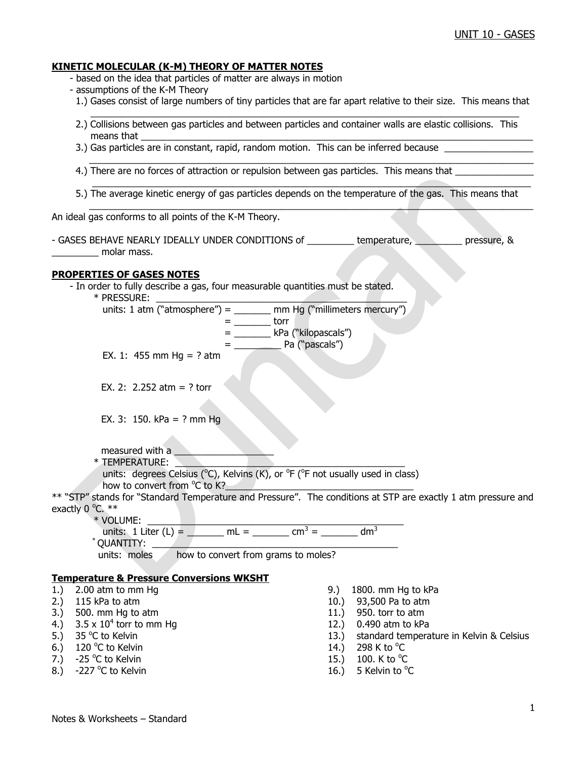#### **KINETIC MOLECULAR (K-M) THEORY OF MATTER NOTES**

- based on the idea that particles of matter are always in motion

- assumptions of the K-M Theory
- 1.) Gases consist of large numbers of tiny particles that are far apart relative to their size. This means that
- $\mathcal{L}_\mathcal{L} = \mathcal{L}_\mathcal{L} = \mathcal{L}_\mathcal{L} = \mathcal{L}_\mathcal{L} = \mathcal{L}_\mathcal{L} = \mathcal{L}_\mathcal{L} = \mathcal{L}_\mathcal{L} = \mathcal{L}_\mathcal{L} = \mathcal{L}_\mathcal{L} = \mathcal{L}_\mathcal{L} = \mathcal{L}_\mathcal{L} = \mathcal{L}_\mathcal{L} = \mathcal{L}_\mathcal{L} = \mathcal{L}_\mathcal{L} = \mathcal{L}_\mathcal{L} = \mathcal{L}_\mathcal{L} = \mathcal{L}_\mathcal{L}$  2.) Collisions between gas particles and between particles and container walls are elastic collisions. This means that  $\_\_$ 
	- 3.) Gas particles are in constant, rapid, random motion. This can be inferred because \_
	- 4.) There are no forces of attraction or repulsion between gas particles. This means that
- 5.) The average kinetic energy of gas particles depends on the temperature of the gas. This means that \_\_\_\_\_\_\_\_\_\_\_\_\_\_\_\_\_\_\_\_\_\_\_\_\_\_\_\_\_\_\_\_\_\_\_\_\_\_\_\_\_\_\_\_\_\_\_\_\_\_\_\_\_\_\_\_\_\_\_\_\_\_\_\_\_\_\_\_\_\_\_\_\_\_\_\_\_\_\_\_\_\_\_\_\_

 $\_$  , and the set of the set of the set of the set of the set of the set of the set of the set of the set of the set of the set of the set of the set of the set of the set of the set of the set of the set of the set of th

\_\_\_\_\_\_\_\_\_\_\_\_\_\_\_\_\_\_\_\_\_\_\_\_\_\_\_\_\_\_\_\_\_\_\_\_\_\_\_\_\_\_\_\_\_\_\_\_\_\_\_\_\_\_\_\_\_\_\_\_\_\_\_\_\_\_\_\_\_\_\_\_\_\_\_\_\_\_\_\_\_\_\_\_

An ideal gas conforms to all points of the K-M Theory.

- GASES BEHAVE NEARLY IDEALLY UNDER CONDITIONS of \_\_\_\_\_\_\_\_\_ temperature, \_\_\_\_\_\_\_\_\_ pressure, & molar mass.

#### **PROPERTIES OF GASES NOTES**

- In order to fully describe a gas, four measurable quantities must be stated.

 $*$  PRESSURE:

| units: 1 atm ("atmosphere") = | mm Hg ("millimeters mercury") |
|-------------------------------|-------------------------------|
|                               | $+2.22$                       |

- $\rule{1em}{0.15mm}$  torr = \_\_\_\_\_\_\_ kPa ("kilopascals")
	- = \_\_\_\_\_\_\_\_\_ Pa ("pascals")

EX. 1: 455 mm Hg = ? atm

EX. 2: 2.252 atm = ? torr

EX. 3: 150. kPa = ? mm Hg

measured with a

 \* TEMPERATURE: \_\_\_\_\_\_\_\_\_\_\_\_\_\_\_\_\_\_\_\_\_\_\_\_\_\_\_\_\_\_\_\_\_\_\_\_\_\_\_\_\_\_\_\_ units: degrees Celsius ( $^{\circ}$ C), Kelvins (K), or  $^{\circ}$ F ( $^{\circ}$ F not usually used in class) how to convert from °C to K?

\*\* "STP" stands for "Standard Temperature and Pressure". The conditions at STP are exactly 1 atm pressure and exactly  $0^{\circ}$ C.  $**$ 

\* VOLUME: \_\_\_\_\_\_\_\_\_\_\_\_\_\_\_\_\_\_\_\_\_\_\_\_\_\_\_\_\_\_\_\_\_\_\_\_\_\_\_\_\_\_\_\_\_\_\_\_\_

units: 1 Liter (L) =  $\mu$  mL =  $\mu$  =  $\mu$  cm<sup>3</sup> =  $\mu$  dm<sup>3</sup>

 $\restriction$  QUANTITY:

units: moles how to convert from grams to moles?

## **Temperature & Pressure Conversions WKSHT**

- 1.) 2.00 atm to mm Hg 9.) 1800. mm Hg to kPa<br>
2.) 115 kPa to atm 10.) 93,500 Pa to atm
- 
- $3.$  500. mm Hg to atm  $11.$  950. torr to atm
- 4.)  $3.5 \times 10^4$  torr to mm Hq
- 5.)  $35^{\circ}$ C to Kelvin
- 6.) 120 °C to Kelvin  $14.$ ) 298 K to  $^{\circ}$
- 7.)  $-25$  °C to Kelvin
- 8.)  $-227$  °C to Kelvin
- 
- 10.) 93,500 Pa to atm
- 
- 12.) 0.490 atm to kPa
- 13.) standard temperature in Kelvin & Celsius
- 298 K to  $^{\circ}$ C
- C to Kelvin  $15.$ )  $100.$  K to  $^{\circ}$ C
- C to Kelvin  $\sim$  2008  $\sim$  16.) 5 Kelvin to  $\rm ^oC$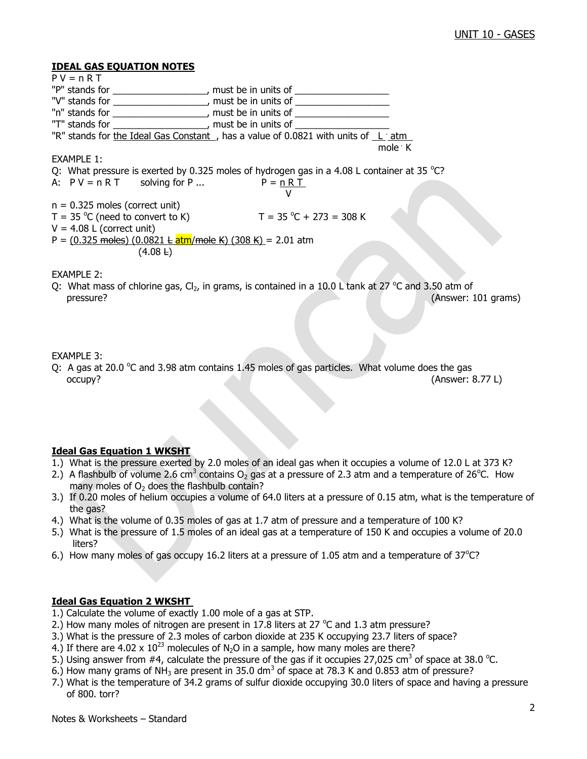#### **IDEAL GAS EQUATION NOTES**

 $P V = n R T$ "P" stands for \_\_\_\_\_\_\_\_\_\_\_\_\_\_\_\_\_, must be in units of \_\_\_\_\_\_\_\_\_\_\_\_\_\_\_\_\_\_\_\_\_\_\_\_\_\_ "V" stands for \_\_\_\_\_\_\_\_\_\_\_\_\_\_\_\_\_, must be in units of \_\_\_\_\_\_\_\_\_\_\_\_\_\_\_\_\_\_\_\_\_\_\_\_\_\_ "n" stands for \_\_\_\_\_\_\_\_\_\_\_\_\_\_\_\_\_\_, must be in units of \_\_\_\_\_\_\_\_\_\_\_\_\_\_\_\_\_\_ "T" stands for \_\_\_\_\_\_\_\_\_\_\_\_\_\_\_\_\_, must be in units of \_\_\_\_\_\_\_\_\_\_\_\_\_ "R" stands for the Ideal Gas Constant, has a value of 0.0821 with units of Ligatm mole . The mole of the state of the state of the state of the state of the state of the state of the state of the state of the state of the state of the state of the state of the state of the state of the state of the stat mole  $\cdot$  K EXAMPLE 1: Q: What pressure is exerted by 0.325 moles of hydrogen gas in a 4.08 L container at 35  $^{\circ}$ C? A:  $PV = n RT$  solving for P ...  $P = n RT$  V  $n = 0.325$  moles (correct unit) T =  $35 \text{ °C}$  (need to convert to K) T =  $35 \text{ °C} + 273 = 308 \text{ K}$  $V = 4.08$  L (correct unit) P =  $(0.325 \text{ moles}) (0.0821 \text{ L} \text{atm/mole K}) (308 \text{ K}) = 2.01 \text{ atm}$  $(4.08 \text{ L})$ EXAMPLE 2: Q: What mass of chlorine gas,  $Cl_2$ , in grams, is contained in a 10.0 L tank at 27  $^{\circ}$ C and 3.50 atm of pressure? (Answer: 101 grams)

## EXAMPLE 3:

Q: A gas at 20.0  $\degree$ C and 3.98 atm contains 1.45 moles of gas particles. What volume does the gas occupy? (Answer: 8.77 L)

## **Ideal Gas Equation 1 WKSHT**

- 1.) What is the pressure exerted by 2.0 moles of an ideal gas when it occupies a volume of 12.0 L at 373 K?
- 2.) A flashbulb of volume 2.6 cm<sup>3</sup> contains O<sub>2</sub> gas at a pressure of 2.3 atm and a temperature of 26<sup>o</sup>C. How many moles of  $O<sub>2</sub>$  does the flashbulb contain?
- 3.) If 0.20 moles of helium occupies a volume of 64.0 liters at a pressure of 0.15 atm, what is the temperature of the gas?
- 4.) What is the volume of 0.35 moles of gas at 1.7 atm of pressure and a temperature of 100 K?
- 5.) What is the pressure of 1.5 moles of an ideal gas at a temperature of 150 K and occupies a volume of 20.0 liters?
- 6.) How many moles of gas occupy 16.2 liters at a pressure of 1.05 atm and a temperature of  $37^{\circ}$ C?

## **Ideal Gas Equation 2 WKSHT**

- 1.) Calculate the volume of exactly 1.00 mole of a gas at STP.
- 2.) How many moles of nitrogen are present in 17.8 liters at 27  $^{\circ}$ C and 1.3 atm pressure?
- 3.) What is the pressure of 2.3 moles of carbon dioxide at 235 K occupying 23.7 liters of space?
- 4.) If there are 4.02 x  $10^{23}$  molecules of N<sub>2</sub>O in a sample, how many moles are there?
- 5.) Using answer from #4, calculate the pressure of the gas if it occupies 27,025 cm<sup>3</sup> of space at 38.0 °C.
- 6.) How many grams of NH<sub>3</sub> are present in 35.0 dm<sup>3</sup> of space at 78.3 K and 0.853 atm of pressure?
- 7.) What is the temperature of 34.2 grams of sulfur dioxide occupying 30.0 liters of space and having a pressure of 800. torr?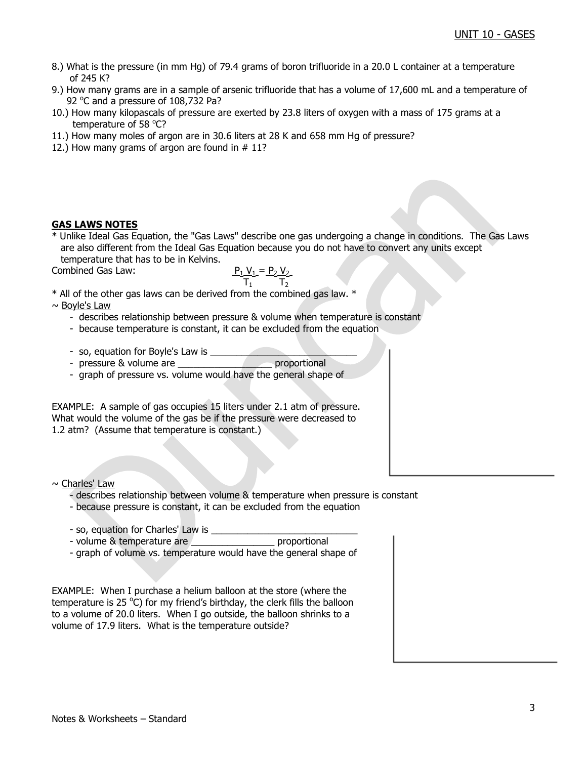- 8.) What is the pressure (in mm Hg) of 79.4 grams of boron trifluoride in a 20.0 L container at a temperature of 245 K?
- 9.) How many grams are in a sample of arsenic trifluoride that has a volume of 17,600 mL and a temperature of 92 °C and a pressure of 108,732 Pa?
- 10.) How many kilopascals of pressure are exerted by 23.8 liters of oxygen with a mass of 175 grams at a temperature of 58 °C?
- 11.) How many moles of argon are in 30.6 liters at 28 K and 658 mm Hg of pressure?
- 12.) How many grams of argon are found in  $# 11$ ?

## **GAS LAWS NOTES**

\* Unlike Ideal Gas Equation, the "Gas Laws" describe one gas undergoing a change in conditions. The Gas Laws are also different from the Ideal Gas Equation because you do not have to convert any units except temperature that has to be in Kelvins.

Combined Gas Law:

$$
P_1 V_1 = P_2 V_2
$$
\nCombined Gas Law:

\n
$$
\frac{P_1 V_1 = P_2 V_2}{T_1}
$$

\* All of the other gas laws can be derived from the combined gas law. \*

 $\sim$  Boyle's Law

- describes relationship between pressure & volume when temperature is constant
- because temperature is constant, it can be excluded from the equation
- so, equation for Boyle's Law is \_\_\_\_\_\_\_\_\_\_\_\_\_\_\_\_\_\_\_\_\_\_\_\_\_\_\_\_

- pressure & volume are \_\_\_\_\_\_\_\_\_\_\_\_\_\_\_\_\_\_ proportional

- graph of pressure vs. volume would have the general shape of

EXAMPLE: A sample of gas occupies 15 liters under 2.1 atm of pressure. What would the volume of the gas be if the pressure were decreased to 1.2 atm? (Assume that temperature is constant.)

~ Charles' Law

- describes relationship between volume & temperature when pressure is constant
- because pressure is constant, it can be excluded from the equation
- 
- so, equation for Charles' Law is \_\_\_\_\_\_\_\_\_\_\_\_\_\_\_\_\_\_\_\_\_\_\_\_\_\_\_\_ - volume & temperature are
- graph of volume vs. temperature would have the general shape of

EXAMPLE: When I purchase a helium balloon at the store (where the temperature is 25  $\rm{^{\circ}C}$ ) for my friend's birthday, the clerk fills the balloon to a volume of 20.0 liters. When I go outside, the balloon shrinks to a volume of 17.9 liters. What is the temperature outside?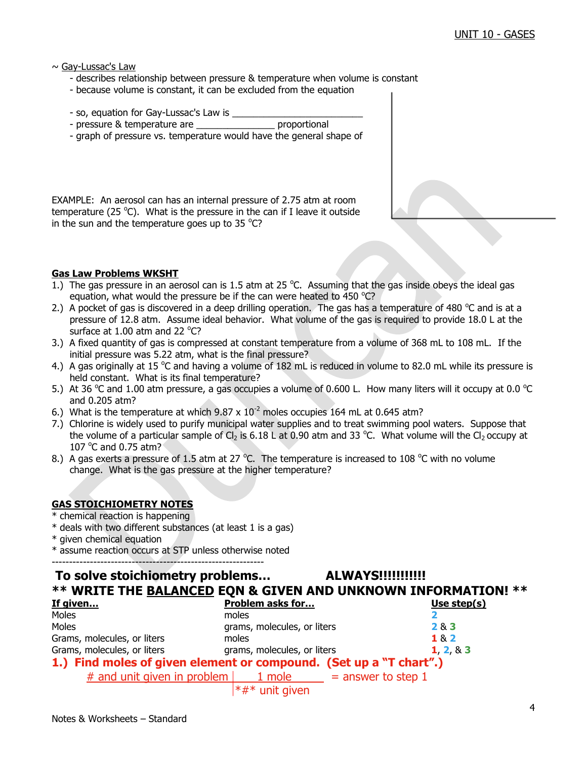$\sim$  Gay-Lussac's Law

- describes relationship between pressure & temperature when volume is constant
- because volume is constant, it can be excluded from the equation
- so, equation for Gay-Lussac's Law is
- pressure & temperature are example are proportional
- graph of pressure vs. temperature would have the general shape of

EXAMPLE: An aerosol can has an internal pressure of 2.75 atm at room temperature (25 $^{\circ}$ C). What is the pressure in the can if I leave it outside in the sun and the temperature goes up to 35  $^{\circ}$ C?

## **Gas Law Problems WKSHT**

- 1.) The gas pressure in an aerosol can is 1.5 atm at 25  $^{\circ}$ C. Assuming that the gas inside obeys the ideal gas equation, what would the pressure be if the can were heated to 450  $^{\circ}$ C?
- 2.) A pocket of gas is discovered in a deep drilling operation. The gas has a temperature of 480  $^{\circ}$ C and is at a pressure of 12.8 atm. Assume ideal behavior. What volume of the gas is required to provide 18.0 L at the surface at  $1.00$  atm and 22 °C?
- 3.) A fixed quantity of gas is compressed at constant temperature from a volume of 368 mL to 108 mL. If the initial pressure was 5.22 atm, what is the final pressure?
- 4.) A gas originally at 15 °C and having a volume of 182 mL is reduced in volume to 82.0 mL while its pressure is held constant. What is its final temperature?
- 5.) At 36 °C and 1.00 atm pressure, a gas occupies a volume of 0.600 L. How many liters will it occupy at 0.0 °C and 0.205 atm?
- 6.) What is the temperature at which  $9.87 \times 10^{-2}$  moles occupies 164 mL at 0.645 atm?
- 7.) Chlorine is widely used to purify municipal water supplies and to treat swimming pool waters. Suppose that the volume of a particular sample of Cl<sub>2</sub> is 6.18 L at 0.90 atm and 33 °C. What volume will the Cl<sub>2</sub> occupy at 107  $^{\circ}$ C and 0.75 atm?
- 8.) A gas exerts a pressure of 1.5 atm at 27  $^{\circ}$ C. The temperature is increased to 108  $^{\circ}$ C with no volume change. What is the gas pressure at the higher temperature?

## **GAS STOICHIOMETRY NOTES**

- \* chemical reaction is happening
- \* deals with two different substances (at least 1 is a gas)
- \* given chemical equation
- \* assume reaction occurs at STP unless otherwise noted

-------------------------------------------------------------

## **To solve stoichiometry problems… ALWAYS!!!!!!!!!!! \*\* WRITE THE BALANCED EQN & GIVEN AND UNKNOWN INFORMATION! \*\***

| If given                                                           | <b>Problem asks for</b>      | Use step(s) |
|--------------------------------------------------------------------|------------------------------|-------------|
| Moles                                                              | moles                        |             |
| Moles                                                              | grams, molecules, or liters  | 2 & 3       |
| Grams, molecules, or liters                                        | moles                        | 1 & 2       |
| Grams, molecules, or liters                                        | grams, molecules, or liters  | 1, 2, 8, 3  |
| 1.) Find moles of given element or compound. (Set up a "T chart".) |                              |             |
| # and unit given in problem $\vert$ 1 mole = answer to step 1      |                              |             |
|                                                                    | $\star$ # $\star$ unit given |             |

 $\uparrow$   $\uparrow$   $\uparrow$   $\uparrow$  unit given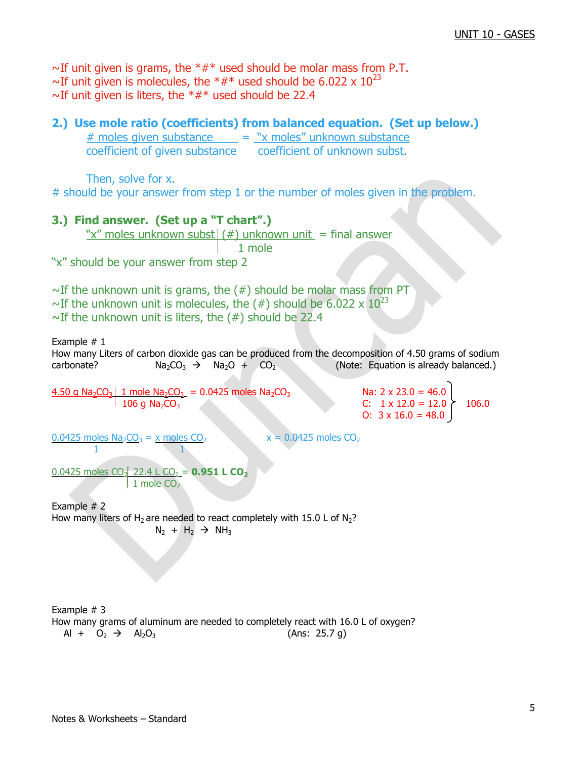$\sim$ If unit given is grams, the  $**$  used should be molar mass from P.T. ~If unit given is molecules, the  $*#*$  used should be 6.022 x  $10^{23}$  $\sim$ If unit given is liters, the  $*#*$  used should be 22.4

# **2.) Use mole ratio (coefficients) from balanced equation. (Set up below.)**  $#$  moles given substance  $= "x$  moles" unknown substance coefficient of given substance coefficient of unknown subst. Then, solve for x. # should be your answer from step 1 or the number of moles given in the problem. **3.) Find answer. (Set up a "T chart".)** "x" moles unknown subst $|(#)$  unknown unit = final answer 1 mole "x" should be your answer from step 2  $\sim$ If the unknown unit is grams, the (#) should be molar mass from PT ~If the unknown unit is molecules, the  $(\#)$  should be 6.022 x  $10^{23}$  $\sim$ If the unknown unit is liters, the (#) should be 22.4 Example  $# 1$ How many Liters of carbon dioxide gas can be produced from the decomposition of 4.50 grams of sodium carbonate?  $Na_2CO_3 \rightarrow Na_2O + CO_2$  (Note: Equation is already balanced.) 4.50 g Na<sub>2</sub>CO<sub>3</sub> 1 mole Na<sub>2</sub>CO<sub>3</sub> = 0.0425 moles Na<sub>2</sub>CO<sub>3</sub> Na: 2 x 23.0 = 46.0  $106 \text{ q Na}_2\text{CO}_3$  C:  $1 \times 12.0 = 12.0 \times 106.0$ O:  $3 \times 16.0 = 48.0$  $0.0425$  moles Na<sub>2</sub>CO<sub>3</sub> = x moles CO<sub>2</sub> x = 0.0425 moles CO<sub>2</sub> 1 1  $0.0425$  moles CO<sub>2</sub> 22.4 L CO<sub>2</sub> = **0.951 L CO<sub>2</sub>**  $1$  mole  $CO<sub>2</sub>$ Example # 2 How many liters of H<sub>2</sub> are needed to react completely with 15.0 L of N<sub>2</sub>?  $N_2 + H_2 \rightarrow NH_3$ Example # 3 How many grams of aluminum are needed to completely react with 16.0 L of oxygen?  $Al + O_2 \rightarrow Al_2O_3$  (Ans: 25.7 g)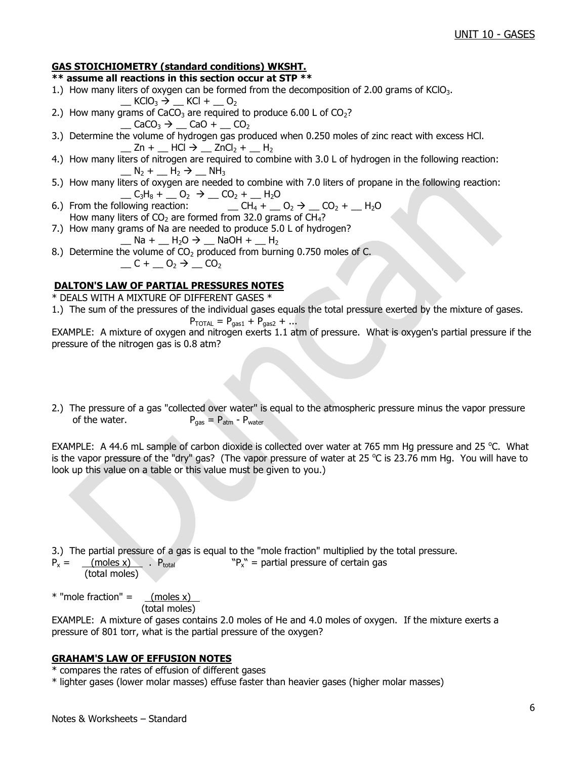## **GAS STOICHIOMETRY (standard conditions) WKSHT.**

## **\*\* assume all reactions in this section occur at STP \*\***

- 1.) How many liters of oxygen can be formed from the decomposition of 2.00 grams of KClO<sub>3</sub>.
- $\_$  KClO<sub>3</sub>  $\rightarrow$   $\_$  KCl +  $\_$  O<sub>2</sub> 2.) How many grams of CaCO<sub>3</sub> are required to produce 6.00 L of CO<sub>2</sub>?
	- $\Box$  CaCO<sub>3</sub>  $\rightarrow$   $\Box$  CaO +  $\Box$  CO<sub>2</sub>
- 3.) Determine the volume of hydrogen gas produced when 0.250 moles of zinc react with excess HCl.  $\angle$  Zn +  $\angle$  HCl  $\rightarrow \angle$  ZnCl<sub>2</sub> +  $\angle$  H<sub>2</sub>
- 4.) How many liters of nitrogen are required to combine with 3.0 L of hydrogen in the following reaction:  $N_2 + N_2 \rightarrow NH_3$
- 5.) How many liters of oxygen are needed to combine with 7.0 liters of propane in the following reaction: \_\_ C3H<sup>8</sup> + \_\_ O<sup>2</sup> \_\_ CO<sup>2</sup> + \_\_ H2O
- $CH_4 + Q_2 \rightarrow CO_2 + P_1$  H<sub>2</sub>O How many liters of  $CO<sub>2</sub>$  are formed from 32.0 grams of CH<sub>4</sub>?
- 7.) How many grams of Na are needed to produce 5.0 L of hydrogen?  $\_$  Na +  $\_$  H<sub>2</sub>O  $\rightarrow$   $\_$  NaOH +  $\_$  H<sub>2</sub>
- 8.) Determine the volume of  $CO<sub>2</sub>$  produced from burning 0.750 moles of C.  $C + C_2 \rightarrow C_2$

## **DALTON'S LAW OF PARTIAL PRESSURES NOTES**

\* DEALS WITH A MIXTURE OF DIFFERENT GASES \*

1.) The sum of the pressures of the individual gases equals the total pressure exerted by the mixture of gases.

$$
P_{\text{TOTAL}} = P_{\text{gas1}} + P_{\text{gas2}} + \dots
$$

EXAMPLE: A mixture of oxygen and nitrogen exerts 1.1 atm of pressure. What is oxygen's partial pressure if the pressure of the nitrogen gas is 0.8 atm?

2.) The pressure of a gas "collected over water" is equal to the atmospheric pressure minus the vapor pressure of the water.  $P_{\text{gas}} = P_{\text{atm}} - P_{\text{water}}$ 

EXAMPLE: A 44.6 mL sample of carbon dioxide is collected over water at 765 mm Hg pressure and 25 °C. What is the vapor pressure of the "dry" gas? (The vapor pressure of water at 25 °C is 23.76 mm Hg. You will have to look up this value on a table or this value must be given to you.)

3.) The partial pressure of a gas is equal to the "mole fraction" multiplied by the total pressure.

 $P_x =$  (moles x) .  $P_{total}$  $P_x''$  = partial pressure of certain gas (total moles)

 $*$  "mole fraction" =  $(moles x)$ (total moles)

EXAMPLE: A mixture of gases contains 2.0 moles of He and 4.0 moles of oxygen. If the mixture exerts a pressure of 801 torr, what is the partial pressure of the oxygen?

## **GRAHAM'S LAW OF EFFUSION NOTES**

\* compares the rates of effusion of different gases

\* lighter gases (lower molar masses) effuse faster than heavier gases (higher molar masses)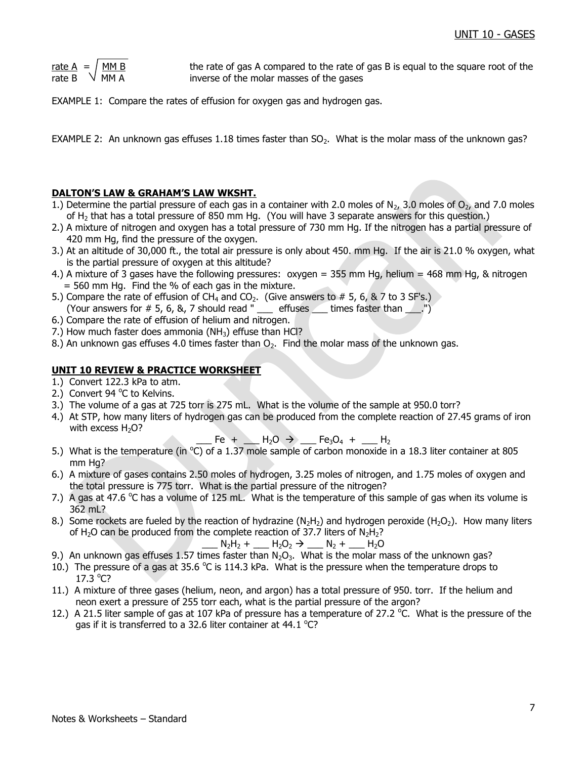| rate A | MM B |
|--------|------|
| rate B | MM A |

the rate of gas A compared to the rate of gas B is equal to the square root of the inverse of the molar masses of the gases

EXAMPLE 1: Compare the rates of effusion for oxygen gas and hydrogen gas.

EXAMPLE 2: An unknown gas effuses 1.18 times faster than  $SO<sub>2</sub>$ . What is the molar mass of the unknown gas?

## **DALTON'S LAW & GRAHAM'S LAW WKSHT.**

- 1.) Determine the partial pressure of each gas in a container with 2.0 moles of  $N_{2}$ , 3.0 moles of  $O_{2}$ , and 7.0 moles of H<sub>2</sub> that has a total pressure of 850 mm Hg. (You will have 3 separate answers for this question.)
- 2.) A mixture of nitrogen and oxygen has a total pressure of 730 mm Hg. If the nitrogen has a partial pressure of 420 mm Hg, find the pressure of the oxygen.
- 3.) At an altitude of 30,000 ft., the total air pressure is only about 450. mm Hg. If the air is 21.0 % oxygen, what is the partial pressure of oxygen at this altitude?
- 4.) A mixture of 3 gases have the following pressures: oxygen = 355 mm Hg, helium = 468 mm Hg, & nitrogen  $=$  560 mm Hg. Find the % of each gas in the mixture.
- 5.) Compare the rate of effusion of CH<sub>4</sub> and CO<sub>2</sub>. (Give answers to # 5, 6, & 7 to 3 SF's.) (Your answers for  $\#$  5, 6, 8, 7 should read " \_\_\_ effuses  $\angle$  times faster than  $\angle$ .")
- 6.) Compare the rate of effusion of helium and nitrogen.
- 7.) How much faster does ammonia ( $NH<sub>3</sub>$ ) effuse than HCl?
- 8.) An unknown gas effuses 4.0 times faster than  $O<sub>2</sub>$ . Find the molar mass of the unknown gas.

## **UNIT 10 REVIEW & PRACTICE WORKSHEET**

- 1.) Convert 122.3 kPa to atm.
- 2.) Convert 94 °C to Kelvins.
- 3.) The volume of a gas at 725 torr is 275 mL. What is the volume of the sample at 950.0 torr?
- 4.) At STP, how many liters of hydrogen gas can be produced from the complete reaction of 27.45 grams of iron with excess  $H_2O$ ?

 $-$  Fe +  $-$  H<sub>2</sub>O  $\rightarrow$   $-$  Fe<sub>3</sub>O<sub>4</sub> +  $-$  H<sub>2</sub>

- 5.) What is the temperature (in  $^{\circ}$ C) of a 1.37 mole sample of carbon monoxide in a 18.3 liter container at 805 mm Hg?
- 6.) A mixture of gases contains 2.50 moles of hydrogen, 3.25 moles of nitrogen, and 1.75 moles of oxygen and the total pressure is 775 torr. What is the partial pressure of the nitrogen?
- 7.) A gas at 47.6  $\degree$ C has a volume of 125 mL. What is the temperature of this sample of gas when its volume is 362 mL?
- 8.) Some rockets are fueled by the reaction of hydrazine (N<sub>2</sub>H<sub>2</sub>) and hydrogen peroxide (H<sub>2</sub>O<sub>2</sub>). How many liters of H<sub>2</sub>O can be produced from the complete reaction of 37.7 liters of  $N_2H_2$ ?

$$
N_2H_2 + M_2O_2 \rightarrow N_2 + M_2O
$$

- 9.) An unknown gas effuses 1.57 times faster than  $N_2O_3$ . What is the molar mass of the unknown gas?
- 10.) The pressure of a gas at 35.6  $\degree$ C is 114.3 kPa. What is the pressure when the temperature drops to  $17.3 °C?$
- 11.) A mixture of three gases (helium, neon, and argon) has a total pressure of 950. torr. If the helium and neon exert a pressure of 255 torr each, what is the partial pressure of the argon?
- 12.) A 21.5 liter sample of gas at 107 kPa of pressure has a temperature of 27.2 °C. What is the pressure of the gas if it is transferred to a 32.6 liter container at 44.1  $^{\circ}$ C?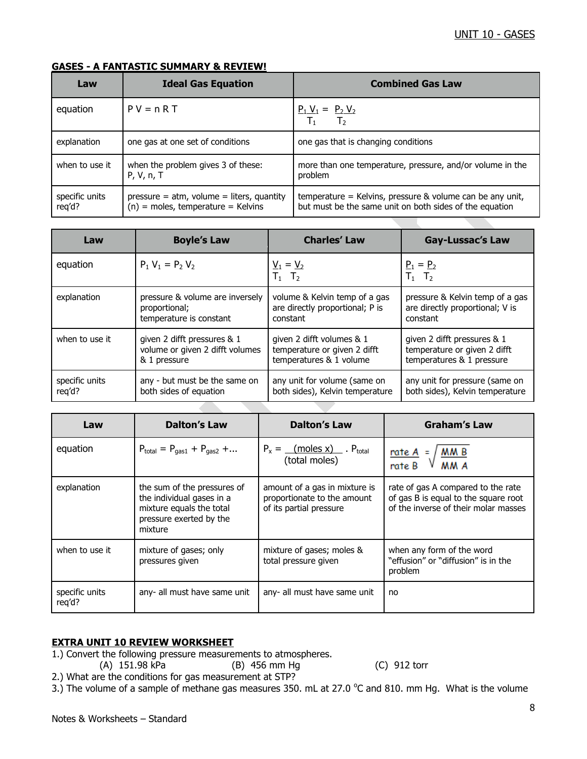## **GASES - A FANTASTIC SUMMARY & REVIEW!**

| Law                      | <b>Ideal Gas Equation</b>                                                            | <b>Combined Gas Law</b>                                                                                                |
|--------------------------|--------------------------------------------------------------------------------------|------------------------------------------------------------------------------------------------------------------------|
| equation                 | $PV = nRT$                                                                           | $P_1 V_1 = P_2 V_2$<br>$\overline{T_1}$ $\overline{T_2}$                                                               |
| explanation              | one gas at one set of conditions                                                     | one gas that is changing conditions                                                                                    |
| when to use it           | when the problem gives 3 of these:<br>P, V, n, T                                     | more than one temperature, pressure, and/or volume in the<br>problem                                                   |
| specific units<br>req'd? | $pressure = atm$ , volume = liters, quantity<br>$(n)$ = moles, temperature = Kelvins | temperature = Kelvins, pressure $&$ volume can be any unit,<br>but must be the same unit on both sides of the equation |

| Law            | <b>Boyle's Law</b>              | <b>Charles' Law</b>                                | <b>Gay-Lussac's Law</b>         |
|----------------|---------------------------------|----------------------------------------------------|---------------------------------|
| equation       | $P_1 V_1 = P_2 V_2$             | $\underline{V}_1 = \underline{V}_2$<br>$T_1$ $T_2$ | $P_1 = P_2$<br>$T_1$ $T_2$      |
| explanation    | pressure & volume are inversely | volume & Kelvin temp of a gas                      | pressure & Kelvin temp of a gas |
|                | proportional;                   | are directly proportional; P is                    | are directly proportional; V is |
|                | temperature is constant         | constant                                           | constant                        |
| when to use it | given 2 difft pressures & 1     | given 2 difft volumes & 1                          | given 2 difft pressures & 1     |
|                | volume or given 2 difft volumes | temperature or given 2 difft                       | temperature or given 2 difft    |
|                | & 1 pressure                    | temperatures & 1 volume                            | temperatures & 1 pressure       |
| specific units | any - but must be the same on   | any unit for volume (same on                       | any unit for pressure (same on  |
| req'd?         | both sides of equation          | both sides), Kelvin temperature                    | both sides), Kelvin temperature |

| Law                      | <b>Dalton's Law</b>                                                                                                        | <b>Dalton's Law</b>                                                                     | <b>Graham's Law</b>                                                                                                |
|--------------------------|----------------------------------------------------------------------------------------------------------------------------|-----------------------------------------------------------------------------------------|--------------------------------------------------------------------------------------------------------------------|
| equation                 | $P_{total} = P_{gas1} + P_{gas2} + $                                                                                       | $P_x =$ (moles x) P <sub>total</sub><br>(total moles)                                   | $rac{\text{rate A}}{\text{rate B}} = \sqrt{\frac{\text{M M B}}{\text{M M A}}}$                                     |
| explanation              | the sum of the pressures of<br>the individual gases in a<br>mixture equals the total<br>pressure exerted by the<br>mixture | amount of a gas in mixture is<br>proportionate to the amount<br>of its partial pressure | rate of gas A compared to the rate<br>of gas B is equal to the square root<br>of the inverse of their molar masses |
| when to use it           | mixture of gases; only<br>pressures given                                                                                  | mixture of gases; moles &<br>total pressure given                                       | when any form of the word<br>"effusion" or "diffusion" is in the<br>problem                                        |
| specific units<br>reg'd? | any- all must have same unit                                                                                               | any- all must have same unit                                                            | no                                                                                                                 |

## **EXTRA UNIT 10 REVIEW WORKSHEET**

- 1.) Convert the following pressure measurements to atmospheres.
	- (A) 151.98 kPa (B) 456 mm Hg (C) 912 torr

- 2.) What are the conditions for gas measurement at STP?
- 3.) The volume of a sample of methane gas measures 350. mL at 27.0  $\degree$ C and 810. mm Hg. What is the volume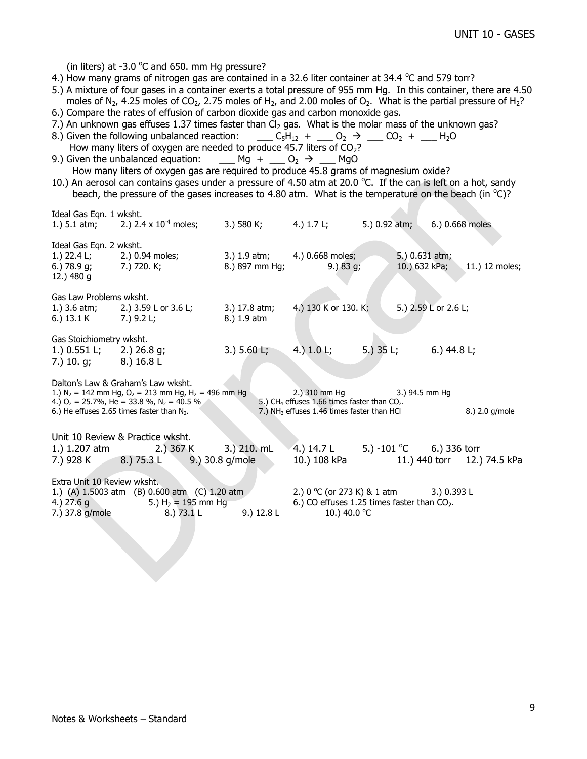(in liters) at -3.0  $\degree$ C and 650. mm Hg pressure?

Ideal Gas Eqn. 1 wksht.

- 4.) How many grams of nitrogen gas are contained in a 32.6 liter container at 34.4  $\degree$ C and 579 torr?
- 5.) A mixture of four gases in a container exerts a total pressure of 955 mm Hg. In this container, there are 4.50 moles of N<sub>2</sub>, 4.25 moles of CO<sub>2</sub>, 2.75 moles of H<sub>2</sub>, and 2.00 moles of O<sub>2</sub>. What is the partial pressure of H<sub>2</sub>?
- 6.) Compare the rates of effusion of carbon dioxide gas and carbon monoxide gas.
- 7.) An unknown gas effuses 1.37 times faster than  $Cl<sub>2</sub>$  gas. What is the molar mass of the unknown gas?
- 8.) Given the following unbalanced reaction: \_\_\_ C<sub>5</sub>H<sub>12</sub> + \_\_ O<sub>2</sub>  $\rightarrow$  \_\_ CO<sub>2</sub> + \_\_ H<sub>2</sub>O How many liters of oxygen are needed to produce 45.7 liters of  $CO<sub>2</sub>$ ?
- 9.) Given the unbalanced equation: Mg +  $O_2 \rightarrow$  MgO How many liters of oxygen gas are required to produce 45.8 grams of magnesium oxide?
- 10.) An aerosol can contains gases under a pressure of 4.50 atm at 20.0 °C. If the can is left on a hot, sandy beach, the pressure of the gases increases to 4.80 atm. What is the temperature on the beach (in  $^{\circ}$ C)?

| waa aas can a mana                                                                          | 1.) 5.1 atm; 2.) 2.4 x $10^{-4}$ moles;                                                                                                                                                                                | 3.) 580 K; 4.) 1.7 L;        |                                                                                                                                            | 5.) 0.92 atm; |                                             | 6.) 0.668 moles |
|---------------------------------------------------------------------------------------------|------------------------------------------------------------------------------------------------------------------------------------------------------------------------------------------------------------------------|------------------------------|--------------------------------------------------------------------------------------------------------------------------------------------|---------------|---------------------------------------------|-----------------|
| Ideal Gas Eqn. 2 wksht.<br>6.) $78.9$ g;<br>12.) 480 g                                      | 1.) 22.4 L; 2.) 0.94 moles;<br>7.) 720. K;                                                                                                                                                                             | 8.) 897 mm Hg;               | 3.) 1.9 atm; 4.) 0.668 moles;<br>9.) 83 g;                                                                                                 |               | 5.) 0.631 atm;<br>10.) 632 kPa;             | 11.) 12 moles;  |
| Gas Law Problems wksht.<br>6.) $13.1 K$ 7.) $9.2 L;$                                        | 1.) 3.6 atm; 2.) 3.59 L or 3.6 L;                                                                                                                                                                                      | 3.) 17.8 atm;<br>8.) 1.9 atm | 4.) 130 K or 130. K;                                                                                                                       |               | 5.) 2.59 L or 2.6 L;                        |                 |
| Gas Stoichiometry wksht.<br>1.) $0.551$ L; 2.) $26.8$ g;<br>7.) 10. g; 8.) $16.8 \text{ L}$ |                                                                                                                                                                                                                        | 3.) 5.60 L; 4.) 1.0 L;       |                                                                                                                                            |               | 5.) $35 \text{ L}$ ; 6.) $44.8 \text{ L}$ ; |                 |
|                                                                                             | Dalton's Law & Graham's Law wksht.<br>1.) $N_2 = 142$ mm Hg, $O_2 = 213$ mm Hg, H <sub>2</sub> = 496 mm Hg<br>4.) $O_2$ = 25.7%, He = 33.8 %, N <sub>2</sub> = 40.5 %<br>6.) He effuses 2.65 times faster than $N_2$ . |                              | 2.) 310 mm Hg 3.) 94.5 mm Hg<br>5.) CH <sub>4</sub> effuses 1.66 times faster than $CO2$ .<br>7.) $NH3$ effuses 1.46 times faster than HCl |               |                                             | 8.) 2.0 g/mole  |
|                                                                                             | Unit 10 Review & Practice wksht.<br>1.) 1.207 atm 2.) 367 K 3.) 210. mL<br>7.) 928 K 8.) 75.3 L 9.) 30.8 g/mole                                                                                                        |                              | 4.) $14.7 \text{ L}$ 5.) $-101 \text{ °C}$ 6.) 336 torr<br>10.) 108 kPa   11.) 440 torr   12.) 74.5 kPa                                    |               |                                             |                 |
| Extra Unit 10 Review wksht.<br>4.) $27.6 g$<br>7.) 37.8 g/mole                              | 1.) (A) 1.5003 atm (B) 0.600 atm (C) 1.20 atm<br>5.) $H_2 = 195$ mm $Hg$<br>8.) 73.1 L                                                                                                                                 | 9.) 12.8 L                   | 2.) $0^{\circ}$ C (or 273 K) & 1 atm 3.) 0.393 L<br>6.) CO effuses 1.25 times faster than $CO2$ .<br>10.) 40.0 °C                          |               |                                             |                 |
|                                                                                             |                                                                                                                                                                                                                        |                              |                                                                                                                                            |               |                                             |                 |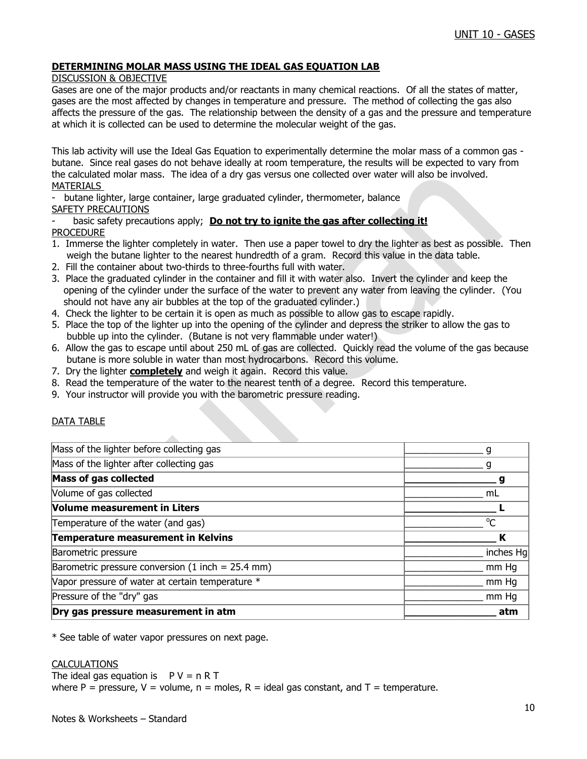## **DETERMINING MOLAR MASS USING THE IDEAL GAS EQUATION LAB**

## DISCUSSION & OBJECTIVE

Gases are one of the major products and/or reactants in many chemical reactions. Of all the states of matter, gases are the most affected by changes in temperature and pressure. The method of collecting the gas also affects the pressure of the gas. The relationship between the density of a gas and the pressure and temperature at which it is collected can be used to determine the molecular weight of the gas.

This lab activity will use the Ideal Gas Equation to experimentally determine the molar mass of a common gas butane. Since real gases do not behave ideally at room temperature, the results will be expected to vary from the calculated molar mass. The idea of a dry gas versus one collected over water will also be involved. MATERIALS

butane lighter, large container, large graduated cylinder, thermometer, balance SAFETY PRECAUTIONS

## basic safety precautions apply; **Do not try to ignite the gas after collecting it!** PROCEDURE

- 1. Immerse the lighter completely in water. Then use a paper towel to dry the lighter as best as possible. Then weigh the butane lighter to the nearest hundredth of a gram. Record this value in the data table.
- 2. Fill the container about two-thirds to three-fourths full with water.
- 3. Place the graduated cylinder in the container and fill it with water also. Invert the cylinder and keep the opening of the cylinder under the surface of the water to prevent any water from leaving the cylinder. (You should not have any air bubbles at the top of the graduated cylinder.)
- 4. Check the lighter to be certain it is open as much as possible to allow gas to escape rapidly.
- 5. Place the top of the lighter up into the opening of the cylinder and depress the striker to allow the gas to bubble up into the cylinder. (Butane is not very flammable under water!)
- 6. Allow the gas to escape until about 250 mL of gas are collected. Quickly read the volume of the gas because butane is more soluble in water than most hydrocarbons. Record this volume.
- 7. Dry the lighter **completely** and weigh it again. Record this value.
- 8. Read the temperature of the water to the nearest tenth of a degree. Record this temperature.
- 9. Your instructor will provide you with the barometric pressure reading.

## DATA TABLE

| Dry gas pressure measurement in atm                 | atm       |
|-----------------------------------------------------|-----------|
| Pressure of the "dry" gas                           | mm Hq     |
| Vapor pressure of water at certain temperature *    | mm Hg     |
| Barometric pressure conversion $(1$ inch = 25.4 mm) | mm Hq     |
| Barometric pressure                                 | inches Hg |
| Temperature measurement in Kelvins                  | К         |
| Temperature of the water (and gas)                  | $\Omega$  |
| Volume measurement in Liters                        |           |
| Volume of gas collected                             | mL        |
| <b>Mass of gas collected</b>                        |           |
| Mass of the lighter after collecting gas            |           |
| Mass of the lighter before collecting gas           |           |

\* See table of water vapor pressures on next page.

#### CALCULATIONS

The ideal gas equation is  $P V = n R T$ where P = pressure, V = volume,  $n =$  moles, R = ideal gas constant, and T = temperature.